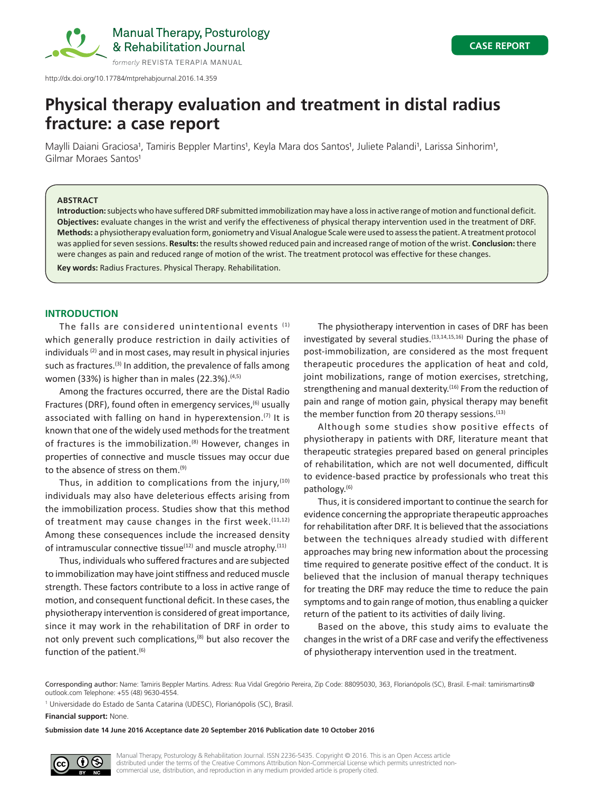

http://dx.doi.org/10.17784/mtprehabjournal.2016.14.359

# **Physical therapy evaluation and treatment in distal radius fracture: a case report**

Maylli Daiani Graciosa<sup>1</sup>, Tamiris Beppler Martins<sup>1</sup>, Keyla Mara dos Santos<sup>1</sup>, Juliete Palandi<sup>1</sup>, Larissa Sinhorim<sup>1</sup>, Gilmar Moraes Santos<sup>1</sup>

## **ABSTRACT**

**Introduction:** subjects who have suffered DRF submitted immobilization may have a loss in active range of motion and functional deficit. **Objectives:** evaluate changes in the wrist and verify the effectiveness of physical therapy intervention used in the treatment of DRF. **Methods:** a physiotherapy evaluation form, goniometry and Visual Analogue Scale were used to assess the patient. A treatment protocol was applied for seven sessions. **Results:** the results showed reduced pain and increased range of motion of the wrist. **Conclusion:** there were changes as pain and reduced range of motion of the wrist. The treatment protocol was effective for these changes.

**Key words:** Radius Fractures. Physical Therapy. Rehabilitation.

## **INTRODUCTION**

The falls are considered unintentional events  $(1)$ which generally produce restriction in daily activities of individuals (2) and in most cases, may result in physical injuries such as fractures.<sup>(3)</sup> In addition, the prevalence of falls among women (33%) is higher than in males (22.3%). $(4,5)$ 

Among the fractures occurred, there are the Distal Radio Fractures (DRF), found often in emergency services,<sup>(6)</sup> usually associated with falling on hand in hyperextension.<sup>(7)</sup> It is known that one of the widely used methods for the treatment of fractures is the immobilization.<sup>(8)</sup> However, changes in properties of connective and muscle tissues may occur due to the absence of stress on them.<sup>(9)</sup>

Thus, in addition to complications from the injury,  $(10)$ individuals may also have deleterious effects arising from the immobilization process. Studies show that this method of treatment may cause changes in the first week.  $(11,12)$ Among these consequences include the increased density of intramuscular connective tissue $(12)$  and muscle atrophy. $(11)$ 

Thus, individuals who suffered fractures and are subjected to immobilization may have joint stiffness and reduced muscle strength. These factors contribute to a loss in active range of motion, and consequent functional deficit. In these cases, the physiotherapy intervention is considered of great importance, since it may work in the rehabilitation of DRF in order to not only prevent such complications,<sup>(8)</sup> but also recover the function of the patient. $(6)$ 

The physiotherapy intervention in cases of DRF has been investigated by several studies. $(13,14,15,16)$  During the phase of post-immobilization, are considered as the most frequent therapeutic procedures the application of heat and cold, joint mobilizations, range of motion exercises, stretching, strengthening and manual dexterity.<sup>(16)</sup> From the reduction of pain and range of motion gain, physical therapy may benefit the member function from 20 therapy sessions.<sup>(13)</sup>

Although some studies show positive effects of physiotherapy in patients with DRF, literature meant that therapeutic strategies prepared based on general principles of rehabilitation, which are not well documented, difficult to evidence-based practice by professionals who treat this pathology.(6)

Thus, it is considered important to continue the search for evidence concerning the appropriate therapeutic approaches for rehabilitation after DRF. It is believed that the associations between the techniques already studied with different approaches may bring new information about the processing time required to generate positive effect of the conduct. It is believed that the inclusion of manual therapy techniques for treating the DRF may reduce the time to reduce the pain symptoms and to gain range of motion, thus enabling a quicker return of the patient to its activities of daily living.

Based on the above, this study aims to evaluate the changes in the wrist of a DRF case and verify the effectiveness of physiotherapy intervention used in the treatment.

Corresponding author: Name: Tamiris Beppler Martins. Adress: Rua Vidal Gregório Pereira, Zip Code: 88095030, 363, Florianópolis (SC), Brasil. E-mail: tamirismartins@ outlook.com Telephone: +55 (48) 9630-4554.

1 Universidade do Estado de Santa Catarina (UDESC), Florianópolis (SC), Brasil.

**Financial support:** None.

**Submission date 14 June 2016 Acceptance date 20 September 2016 Publication date 10 October 2016**



Manual Therapy, Posturology & Rehabilitation Journal. ISSN 2236-5435. Copyright © 2016. This is an Open Access article distributed under the terms of the Creative Commons Attribution Non-Commercial License which permits unrestricted noncommercial use, distribution, and reproduction in any medium provided article is properly cited.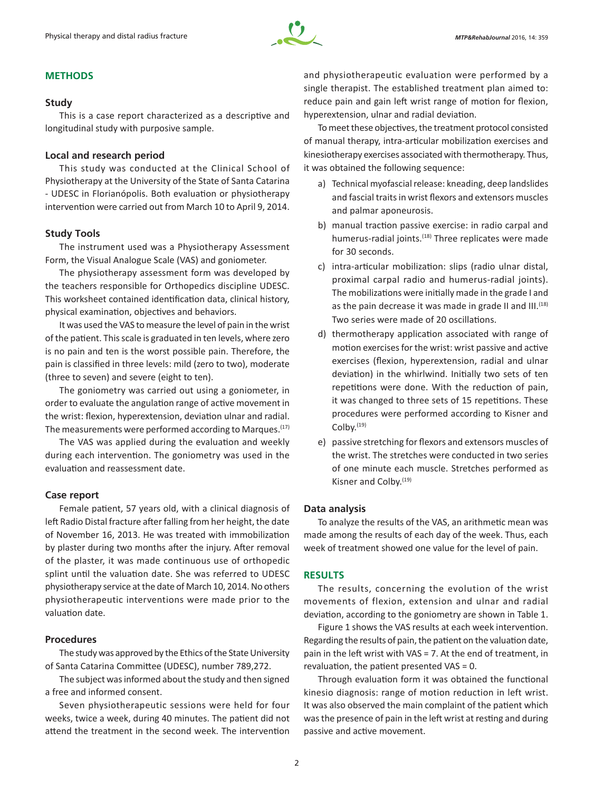

# **METHODS**

## **Study**

This is a case report characterized as a descriptive and longitudinal study with purposive sample.

## **Local and research period**

This study was conducted at the Clinical School of Physiotherapy at the University of the State of Santa Catarina - UDESC in Florianópolis. Both evaluation or physiotherapy intervention were carried out from March 10 to April 9, 2014.

## **Study Tools**

The instrument used was a Physiotherapy Assessment Form, the Visual Analogue Scale (VAS) and goniometer.

The physiotherapy assessment form was developed by the teachers responsible for Orthopedics discipline UDESC. This worksheet contained identification data, clinical history, physical examination, objectives and behaviors.

It was used the VAS to measure the level of pain in the wrist of the patient. This scale is graduated in ten levels, where zero is no pain and ten is the worst possible pain. Therefore, the pain is classified in three levels: mild (zero to two), moderate (three to seven) and severe (eight to ten).

The goniometry was carried out using a goniometer, in order to evaluate the angulation range of active movement in the wrist: flexion, hyperextension, deviation ulnar and radial. The measurements were performed according to Marques.<sup>(17)</sup>

The VAS was applied during the evaluation and weekly during each intervention. The goniometry was used in the evaluation and reassessment date.

## **Case report**

Female patient, 57 years old, with a clinical diagnosis of left Radio Distal fracture after falling from her height, the date of November 16, 2013. He was treated with immobilization by plaster during two months after the injury. After removal of the plaster, it was made continuous use of orthopedic splint until the valuation date. She was referred to UDESC physiotherapy service at the date of March 10, 2014. No others physiotherapeutic interventions were made prior to the valuation date.

## **Procedures**

The study was approved by the Ethics of the State University of Santa Catarina Committee (UDESC), number 789,272.

The subject was informed about the study and then signed a free and informed consent.

Seven physiotherapeutic sessions were held for four weeks, twice a week, during 40 minutes. The patient did not attend the treatment in the second week. The intervention and physiotherapeutic evaluation were performed by a single therapist. The established treatment plan aimed to: reduce pain and gain left wrist range of motion for flexion, hyperextension, ulnar and radial deviation.

To meet these objectives, the treatment protocol consisted of manual therapy, intra-articular mobilization exercises and kinesiotherapy exercises associated with thermotherapy. Thus, it was obtained the following sequence:

- a) Technical myofascial release: kneading, deep landslides and fascial traits in wrist flexors and extensors muscles and palmar aponeurosis.
- b) manual traction passive exercise: in radio carpal and humerus-radial joints.<sup>(18)</sup> Three replicates were made for 30 seconds.
- c) intra-articular mobilization: slips (radio ulnar distal, proximal carpal radio and humerus-radial joints). The mobilizations were initially made in the grade I and as the pain decrease it was made in grade II and III.<sup>(18)</sup> Two series were made of 20 oscillations.
- d) thermotherapy application associated with range of motion exercises for the wrist: wrist passive and active exercises (flexion, hyperextension, radial and ulnar deviation) in the whirlwind. Initially two sets of ten repetitions were done. With the reduction of pain, it was changed to three sets of 15 repetitions. These procedures were performed according to Kisner and Colby.(19)
- e) passive stretching for flexors and extensors muscles of the wrist. The stretches were conducted in two series of one minute each muscle. Stretches performed as Kisner and Colby.(19)

## **Data analysis**

To analyze the results of the VAS, an arithmetic mean was made among the results of each day of the week. Thus, each week of treatment showed one value for the level of pain.

## **RESULTS**

The results, concerning the evolution of the wrist movements of flexion, extension and ulnar and radial deviation, according to the goniometry are shown in Table 1.

Figure 1 shows the VAS results at each week intervention. Regarding the results of pain, the patient on the valuation date, pain in the left wrist with VAS = 7. At the end of treatment, in revaluation, the patient presented VAS = 0.

Through evaluation form it was obtained the functional kinesio diagnosis: range of motion reduction in left wrist. It was also observed the main complaint of the patient which was the presence of pain in the left wrist at resting and during passive and active movement.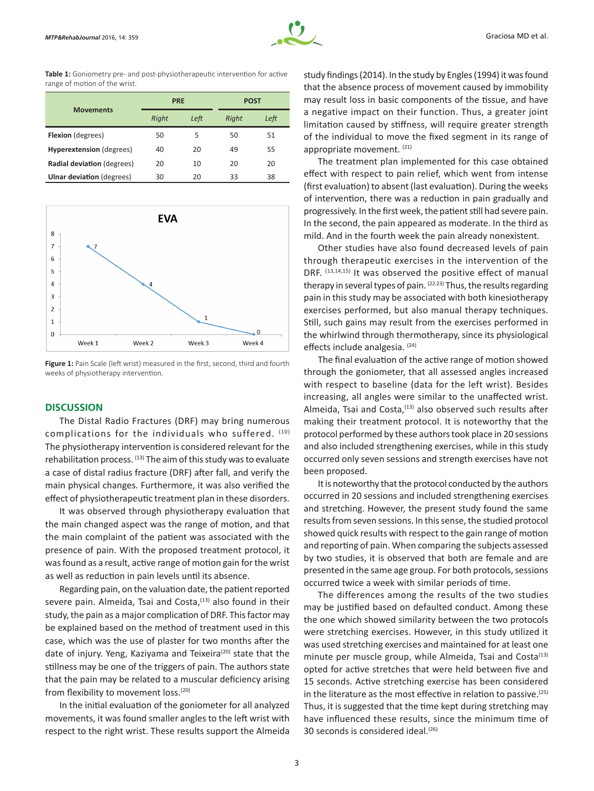

**Table 1:** Goniometry pre- and post-physiotherapeutic intervention for active range of motion of the wrist.

| <b>Movements</b>                 | <b>PRE</b> |      | POST  |      |
|----------------------------------|------------|------|-------|------|
|                                  | Right      | Left | Right | Left |
| <b>Flexion</b> (degrees)         | 50         | 5    | 50    | 51   |
| <b>Hyperextension</b> (degrees)  | 40         | 20   | 49    | 55   |
| Radial deviation (degrees)       | 20         | 10   | 20    | 20   |
| <b>Ulnar deviation</b> (degrees) | 30         | 20   | 33    | 38   |



Figure 1: Pain Scale (left wrist) measured in the first, second, third and fourth weeks of physiotherapy intervention.

## **DISCUSSION**

The Distal Radio Fractures (DRF) may bring numerous complications for the individuals who suffered. (10) The physiotherapy intervention is considered relevant for the rehabilitation process. (13) The aim of this study was to evaluate a case of distal radius fracture (DRF) after fall, and verify the main physical changes. Furthermore, it was also verified the effect of physiotherapeutic treatment plan in these disorders.

It was observed through physiotherapy evaluation that the main changed aspect was the range of motion, and that the main complaint of the patient was associated with the presence of pain. With the proposed treatment protocol, it was found as a result, active range of motion gain for the wrist as well as reduction in pain levels until its absence.

Regarding pain, on the valuation date, the patient reported severe pain. Almeida, Tsai and Costa,<sup>(13)</sup> also found in their study, the pain as a major complication of DRF. This factor may be explained based on the method of treatment used in this case, which was the use of plaster for two months after the date of injury. Yeng, Kaziyama and Teixeira<sup>(20)</sup> state that the stillness may be one of the triggers of pain. The authors state that the pain may be related to a muscular deficiency arising from flexibility to movement loss.<sup>(20)</sup>

In the initial evaluation of the goniometer for all analyzed movements, it was found smaller angles to the left wrist with respect to the right wrist. These results support the Almeida study findings (2014). In the study by Engles (1994) it was found that the absence process of movement caused by immobility may result loss in basic components of the tissue, and have a negative impact on their function. Thus, a greater joint limitation caused by stiffness, will require greater strength of the individual to move the fixed segment in its range of appropriate movement. (21)

The treatment plan implemented for this case obtained effect with respect to pain relief, which went from intense (first evaluation) to absent (last evaluation). During the weeks of intervention, there was a reduction in pain gradually and progressively. In the first week, the patient still had severe pain. In the second, the pain appeared as moderate. In the third as mild. And in the fourth week the pain already nonexistent.

Other studies have also found decreased levels of pain through therapeutic exercises in the intervention of the DRF. (13,14,15) It was observed the positive effect of manual therapy in several types of pain. <sup>(22.23)</sup> Thus, the results regarding pain in this study may be associated with both kinesiotherapy exercises performed, but also manual therapy techniques. Still, such gains may result from the exercises performed in the whirlwind through thermotherapy, since its physiological effects include analgesia. (24)

The final evaluation of the active range of motion showed through the goniometer, that all assessed angles increased with respect to baseline (data for the left wrist). Besides increasing, all angles were similar to the unaffected wrist. Almeida, Tsai and Costa,<sup>(13)</sup> also observed such results after making their treatment protocol. It is noteworthy that the protocol performed by these authors took place in 20 sessions and also included strengthening exercises, while in this study occurred only seven sessions and strength exercises have not been proposed.

It is noteworthy that the protocol conducted by the authors occurred in 20 sessions and included strengthening exercises and stretching. However, the present study found the same results from seven sessions. In this sense, the studied protocol showed quick results with respect to the gain range of motion and reporting of pain. When comparing the subjects assessed by two studies, it is observed that both are female and are presented in the same age group. For both protocols, sessions occurred twice a week with similar periods of time.

The differences among the results of the two studies may be justified based on defaulted conduct. Among these the one which showed similarity between the two protocols were stretching exercises. However, in this study utilized it was used stretching exercises and maintained for at least one minute per muscle group, while Almeida, Tsai and Costa<sup>(13)</sup> opted for active stretches that were held between five and 15 seconds. Active stretching exercise has been considered in the literature as the most effective in relation to passive. $(25)$ Thus, it is suggested that the time kept during stretching may have influenced these results, since the minimum time of 30 seconds is considered ideal.(26)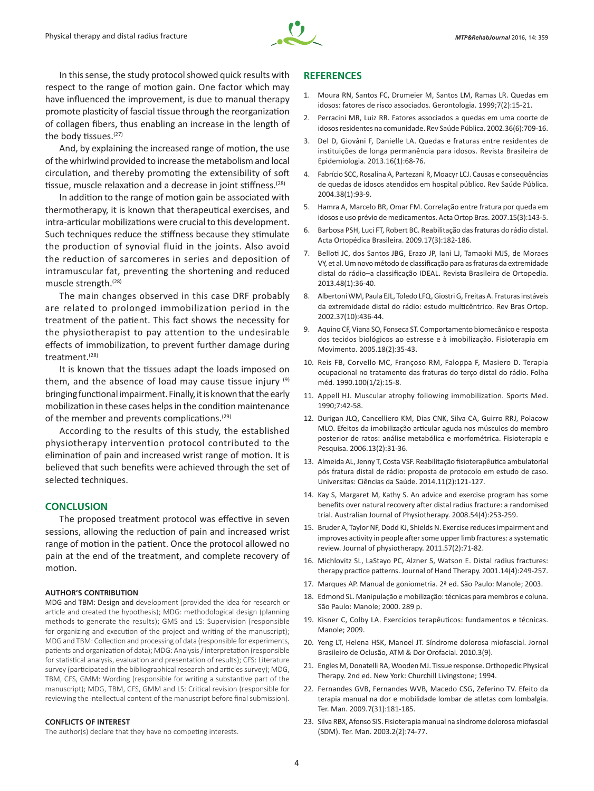

In this sense, the study protocol showed quick results with respect to the range of motion gain. One factor which may have influenced the improvement, is due to manual therapy promote plasticity of fascial tissue through the reorganization of collagen fibers, thus enabling an increase in the length of the body tissues.<sup>(27)</sup>

And, by explaining the increased range of motion, the use of the whirlwind provided to increase the metabolism and local circulation, and thereby promoting the extensibility of soft tissue, muscle relaxation and a decrease in joint stiffness.<sup>(28)</sup>

In addition to the range of motion gain be associated with thermotherapy, it is known that therapeutical exercises, and intra-articular mobilizations were crucial to this development. Such techniques reduce the stiffness because they stimulate the production of synovial fluid in the joints. Also avoid the reduction of sarcomeres in series and deposition of intramuscular fat, preventing the shortening and reduced muscle strength.(28)

The main changes observed in this case DRF probably are related to prolonged immobilization period in the treatment of the patient. This fact shows the necessity for the physiotherapist to pay attention to the undesirable effects of immobilization, to prevent further damage during treatment.(28)

It is known that the tissues adapt the loads imposed on them, and the absence of load may cause tissue injury  $(9)$ bringing functional impairment. Finally, it is known that the early mobilization in these cases helps in the condition maintenance of the member and prevents complications.<sup>(29)</sup>

According to the results of this study, the established physiotherapy intervention protocol contributed to the elimination of pain and increased wrist range of motion. It is believed that such benefits were achieved through the set of selected techniques.

## **CONCLUSION**

The proposed treatment protocol was effective in seven sessions, allowing the reduction of pain and increased wrist range of motion in the patient. Once the protocol allowed no pain at the end of the treatment, and complete recovery of motion.

#### **AUTHOR'S CONTRIBUTION**

MDG and TBM: Design and development (provided the idea for research or article and created the hypothesis); MDG: methodological design (planning methods to generate the results); GMS and LS: Supervision (responsible for organizing and execution of the project and writing of the manuscript); MDG and TBM: Collection and processing of data (responsible for experiments, patients and organization of data); MDG: Analysis / interpretation (responsible for statistical analysis, evaluation and presentation of results); CFS: Literature survey (participated in the bibliographical research and articles survey); MDG, TBM, CFS, GMM: Wording (responsible for writing a substantive part of the manuscript); MDG, TBM, CFS, GMM and LS: Critical revision (responsible for reviewing the intellectual content of the manuscript before final submission).

#### **CONFLICTS OF INTEREST**

The author(s) declare that they have no competing interests.

#### **REFERENCES**

- 1. Moura RN, Santos FC, Drumeier M, Santos LM, Ramas LR. Quedas em idosos: fatores de risco associados. Gerontologia. 1999;7(2):15-21.
- 2. Perracini MR, Luiz RR. Fatores associados a quedas em uma coorte de idosos residentes na comunidade. Rev Saúde Pública. 2002.36(6):709-16.
- 3. Del D, Giovâni F, Danielle LA. Quedas e fraturas entre residentes de instituições de longa permanência para idosos. Revista Brasileira de Epidemiologia. 2013.16(1):68-76.
- 4. Fabrício SCC, Rosalina A, Partezani R, Moacyr LCJ. Causas e consequências de quedas de idosos atendidos em hospital público. Rev Saúde Pública. 2004.38(1):93-9.
- 5. Hamra A, Marcelo BR, Omar FM. Correlação entre fratura por queda em idosos e uso prévio de medicamentos. Acta Ortop Bras. 2007.15(3):143-5.
- 6. Barbosa PSH, Luci FT, Robert BC. Reabilitação das fraturas do rádio distal. Acta Ortopédica Brasileira. 2009.17(3):182-186.
- 7. Belloti JC, dos Santos JBG, Erazo JP, Iani LJ, Tamaoki MJS, de Moraes VY, et al. Um novo método de classificação para as fraturas da extremidade distal do rádio–a classificação IDEAL. Revista Brasileira de Ortopedia. 2013.48(1):36-40.
- 8. Albertoni WM, Paula EJL, Toledo LFQ, Giostri G, Freitas A. Fraturas instáveis da extremidade distal do rádio: estudo multicêntrico. Rev Bras Ortop. 2002.37(10):436-44.
- 9. Aquino CF, Viana SO, Fonseca ST. Comportamento biomecânico e resposta dos tecidos biológicos ao estresse e à imobilização. Fisioterapia em Movimento. 2005.18(2):35-43.
- 10. Reis FB, Corvello MC, Françoso RM, Faloppa F, Masiero D. Terapia ocupacional no tratamento das fraturas do terço distal do rádio. Folha méd. 1990.100(1/2):15-8.
- 11. Appell HJ. Muscular atrophy following immobilization. Sports Med. 1990;7:42-58.
- 12. Durigan JLQ, Cancelliero KM, Dias CNK, Silva CA, Guirro RRJ, Polacow MLO. Efeitos da imobilização articular aguda nos músculos do membro posterior de ratos: análise metabólica e morfométrica. Fisioterapia e Pesquisa. 2006.13(2):31-36.
- 13. Almeida AL, Jenny T, Costa VSF. Reabilitação fisioterapêutica ambulatorial pós fratura distal de rádio: proposta de protocolo em estudo de caso. Universitas: Ciências da Saúde. 2014.11(2):121-127.
- 14. Kay S, Margaret M, Kathy S. An advice and exercise program has some benefits over natural recovery after distal radius fracture: a randomised trial. Australian Journal of Physiotherapy. 2008.54(4):253-259.
- 15. Bruder A, Taylor NF, Dodd KJ, Shields N. Exercise reduces impairment and improves activity in people after some upper limb fractures: a systematic review. Journal of physiotherapy. 2011.57(2):71-82.
- 16. Michlovitz SL, LaStayo PC, Alzner S, Watson E. Distal radius fractures: therapy practice patterns. Journal of Hand Therapy. 2001.14(4):249-257.
- 17. Marques AP. Manual de goniometria. 2ª ed. São Paulo: Manole; 2003.
- 18. Edmond SL. Manipulação e mobilização: técnicas para membros e coluna. São Paulo: Manole; 2000. 289 p.
- 19. Kisner C, Colby LA. Exercícios terapêuticos: fundamentos e técnicas. Manole; 2009.
- 20. Yeng LT, Helena HSK, Manoel JT. Síndrome dolorosa miofascial. Jornal Brasileiro de Oclusão, ATM & Dor Orofacial. 2010.3(9).
- 21. Engles M, Donatelli RA, Wooden MJ. Tissue response. Orthopedic Physical Therapy. 2nd ed. New York: Churchill Livingstone; 1994.
- 22. Fernandes GVB, Fernandes WVB, Macedo CSG, Zeferino TV. Efeito da terapia manual na dor e mobilidade lombar de atletas com lombalgia. Ter. Man. 2009.7(31):181-185.
- 23. Silva RBX, Afonso SIS. Fisioterapia manual na síndrome dolorosa miofascial (SDM). Ter. Man. 2003.2(2):74-77.